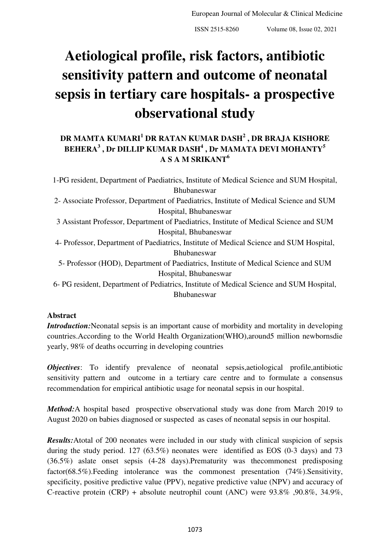# **Aetiological profile, risk factors, antibiotic sensitivity pattern and outcome of neonatal sepsis in tertiary care hospitals- a prospective observational study**

## **DR MAMTA KUMARI<sup>1</sup> DR RATAN KUMAR DASH<sup>2</sup> , DR BRAJA KISHORE BEHERA<sup>3</sup> , Dr DILLIP KUMAR DASH<sup>4</sup> , Dr MAMATA DEVI MOHANTY<sup>5</sup> A S A M SRIKANT<sup>6</sup>**

1-PG resident, Department of Paediatrics, Institute of Medical Science and SUM Hospital, Bhubaneswar 2- Associate Professor, Department of Paediatrics, Institute of Medical Science and SUM Hospital, Bhubaneswar 3 Assistant Professor, Department of Paediatrics, Institute of Medical Science and SUM Hospital, Bhubaneswar 4- Professor, Department of Paediatrics, Institute of Medical Science and SUM Hospital, Bhubaneswar 5- Professor (HOD), Department of Paediatrics, Institute of Medical Science and SUM Hospital, Bhubaneswar 6- PG resident, Department of Pediatrics, Institute of Medical Science and SUM Hospital,

Bhubaneswar

## **Abstract**

*Introduction:*Neonatal sepsis is an important cause of morbidity and mortality in developing countries.According to the World Health Organization(WHO),around5 million newbornsdie yearly, 98% of deaths occurring in developing countries

*Objectives*: To identify prevalence of neonatal sepsis, aetiological profile, antibiotic sensitivity pattern and outcome in a tertiary care centre and to formulate a consensus recommendation for empirical antibiotic usage for neonatal sepsis in our hospital.

*Method:*A hospital based prospective observational study was done from March 2019 to August 2020 on babies diagnosed or suspected as cases of neonatal sepsis in our hospital.

*Results:*Atotal of 200 neonates were included in our study with clinical suspicion of sepsis during the study period. 127 (63.5%) neonates were identified as EOS (0-3 days) and 73 (36.5%) aslate onset sepsis (4-28 days).Prematurity was thecommonest predisposing factor(68.5%).Feeding intolerance was the commonest presentation (74%).Sensitivity, specificity, positive predictive value (PPV), negative predictive value (NPV) and accuracy of C-reactive protein (CRP) + absolute neutrophil count (ANC) were 93.8% ,90.8%, 34.9%,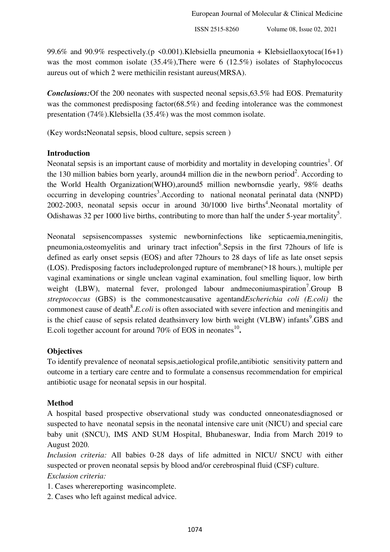99.6% and 90.9% respectively.(p <0.001). Klebsiella pneumonia + Klebsiellaoxytoca(16+1) was the most common isolate (35.4%),There were 6 (12.5%) isolates of Staphylococcus aureus out of which 2 were methicilin resistant aureus(MRSA).

*Conclusions:*Of the 200 neonates with suspected neonal sepsis,63.5% had EOS. Prematurity was the commonest predisposing factor(68.5%) and feeding intolerance was the commonest presentation (74%).Klebsiella (35.4%) was the most common isolate.

(Key words**:**Neonatal sepsis, blood culture, sepsis screen )

## **Introduction**

Neonatal sepsis is an important cause of morbidity and mortality in developing countries<sup>1</sup>. Of the 130 million babies born yearly, around 4 million die in the newborn period<sup>2</sup>. According to the World Health Organization(WHO),around5 million newbornsdie yearly, 98% deaths occurring in developing countries<sup>3</sup>. According to national neonatal perinatal data (NNPD) 2002-2003, neonatal sepsis occur in around  $30/1000$  live births<sup>4</sup>. Neonatal mortality of Odishawas 32 per 1000 live births, contributing to more than half the under 5-year mortality<sup>5</sup>.

Neonatal sepsisencompasses systemic newborninfections like septicaemia,meningitis, pneumonia, osteomyelitis and urinary tract infection<sup>6</sup>. Sepsis in the first 72 hours of life is defined as early onset sepsis (EOS) and after 72hours to 28 days of life as late onset sepsis (LOS). Predisposing factors includeprolonged rupture of membrane(>18 hours.), multiple per vaginal examinations or single unclean vaginal examination, foul smelling liquor, low birth weight (LBW), maternal fever, prolonged labour andmeconiumaspiration<sup>7</sup>.Group B *streptococcus* (GBS) is the commonestcausative agentand*Escherichia coli (E.coli)* the commonest cause of death<sup>8</sup>.*E.coli* is often associated with severe infection and meningitis and is the chief cause of sepsis related deathsinvery low birth weight (VLBW) infants<sup>9</sup>.GBS and E.coli together account for around 70% of EOS in neonates<sup>10</sup>.

## **Objectives**

To identify prevalence of neonatal sepsis,aetiological profile,antibiotic sensitivity pattern and outcome in a tertiary care centre and to formulate a consensus recommendation for empirical antibiotic usage for neonatal sepsis in our hospital.

## **Method**

A hospital based prospective observational study was conducted onneonatesdiagnosed or suspected to have neonatal sepsis in the neonatal intensive care unit (NICU) and special care baby unit (SNCU), IMS AND SUM Hospital, Bhubaneswar, India from March 2019 to August 2020.

*Inclusion criteria:* All babies 0-28 days of life admitted in NICU/ SNCU with either suspected or proven neonatal sepsis by blood and/or cerebrospinal fluid (CSF) culture. *Exclusion criteria:* 

- 1. Cases wherereporting wasincomplete.
- 2. Cases who left against medical advice.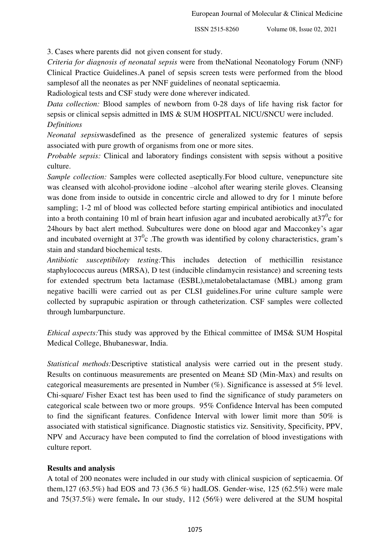3. Cases where parents did not given consent for study.

*Criteria for diagnosis of neonatal sepsis* were from theNational Neonatology Forum (NNF) Clinical Practice Guidelines.A panel of sepsis screen tests were performed from the blood samplesof all the neonates as per NNF guidelines of neonatal septicaemia.

Radiological tests and CSF study were done wherever indicated.

*Data collection:* Blood samples of newborn from 0-28 days of life having risk factor for sepsis or clinical sepsis admitted in IMS & SUM HOSPITAL NICU/SNCU were included. *Definitions* 

*Neonatal sepsis*wasdefined as the presence of generalized systemic features of sepsis associated with pure growth of organisms from one or more sites.

*Probable sepsis:* Clinical and laboratory findings consistent with sepsis without a positive culture.

*Sample collection:* Samples were collected aseptically.For blood culture, venepuncture site was cleansed with alcohol-providone iodine –alcohol after wearing sterile gloves. Cleansing was done from inside to outside in concentric circle and allowed to dry for 1 minute before sampling; 1-2 ml of blood was collected before starting empirical antibiotics and inoculated into a broth containing 10 ml of brain heart infusion agar and incubated aerobically at  $37^0$ c for 24hours by bact alert method. Subcultures were done on blood agar and Macconkey's agar and incubated overnight at  $37^0$ c. The growth was identified by colony characteristics, gram's stain and standard biochemical tests.

*Antibiotic susceptibiloty testing:*This includes detection of methicillin resistance staphylococcus aureus (MRSA), D test (inducible clindamycin resistance) and screening tests for extended spectrum beta lactamase (ESBL),metalobetalactamase (MBL) among gram negative bacilli were carried out as per CLSI guidelines.For urine culture sample were collected by suprapubic aspiration or through catheterization. CSF samples were collected through lumbarpuncture.

*Ethical aspects:*This study was approved by the Ethical committee of IMS& SUM Hospital Medical College, Bhubaneswar, India.

*Statistical methods:*Descriptive statistical analysis were carried out in the present study. Results on continuous measurements are presented on Mean± SD (Min-Max) and results on categorical measurements are presented in Number (%). Significance is assessed at 5% level. Chi-square/ Fisher Exact test has been used to find the significance of study parameters on categorical scale between two or more groups. 95% Confidence Interval has been computed to find the significant features. Confidence Interval with lower limit more than 50% is associated with statistical significance. Diagnostic statistics viz. Sensitivity, Specificity, PPV, NPV and Accuracy have been computed to find the correlation of blood investigations with culture report.

## **Results and analysis**

A total of 200 neonates were included in our study with clinical suspicion of septicaemia. Of them,127 (63.5%) had EOS and 73 (36.5 %) hadLOS. Gender-wise, 125 (62.5%) were male and 75(37.5%) were female**.** In our study, 112 (56%) were delivered at the SUM hospital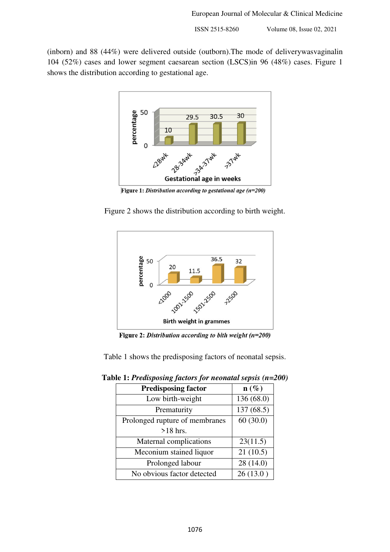(inborn) and 88 (44%) were delivered outside (outborn).The mode of deliverywasvaginalin 104 (52%) cases and lower segment caesarean section (LSCS)in 96 (48%) cases. Figure 1 shows the distribution according to gestational age.



Figure 1: Distribution according to gestational age ( $n=200$ )

Figure 2 shows the distribution according to birth weight.



Figure 2: Distribution according to bith weight ( $n=200$ )

Table 1 shows the predisposing factors of neonatal sepsis.

| <b>Predisposing factor</b>     | $\mathbf{n}(\%)$ |
|--------------------------------|------------------|
| Low birth-weight               | 136 (68.0)       |
| Prematurity                    | 137(68.5)        |
| Prolonged rupture of membranes | 60(30.0)         |
| $>18$ hrs.                     |                  |
| Maternal complications         | 23(11.5)         |
| Meconium stained liquor        | 21(10.5)         |
| Prolonged labour               | 28 (14.0)        |
| No obvious factor detected     | 26(13.0)         |

**Table 1:** *Predisposing factors for neonatal sepsis (n=200)*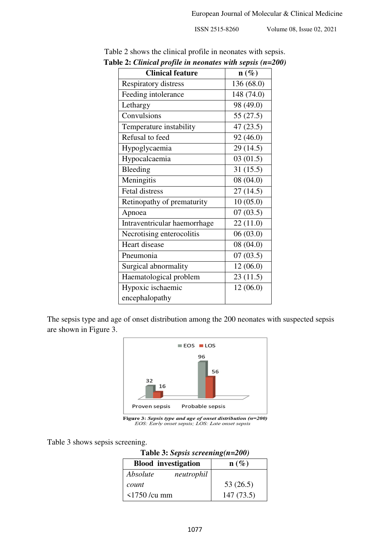| nancan programmana<br><b>Clinical feature</b> | $n$ with $\mathcal{S}$ $\mathcal{S}$ $\mathcal{S}$ $\mathcal{S}$ $\mathcal{S}$ $\mathcal{S}$ $\mathcal{S}$ $\mathcal{S}$ $\mathcal{S}$ $\mathcal{S}$ $\mathcal{S}$ $\mathcal{S}$ $\mathcal{S}$ $\mathcal{S}$ $\mathcal{S}$ $\mathcal{S}$ $\mathcal{S}$ $\mathcal{S}$ $\mathcal{S}$ $\mathcal{S}$ $\mathcal{S}$ $\mathcal{S}$ $\mathcal{S}$ $\mathcal{$<br>$n(\%)$ |
|-----------------------------------------------|-------------------------------------------------------------------------------------------------------------------------------------------------------------------------------------------------------------------------------------------------------------------------------------------------------------------------------------------------------------------|
| <b>Respiratory distress</b>                   | 136 (68.0)                                                                                                                                                                                                                                                                                                                                                        |
| Feeding intolerance                           | 148 (74.0)                                                                                                                                                                                                                                                                                                                                                        |
| Lethargy                                      | 98 (49.0)                                                                                                                                                                                                                                                                                                                                                         |
| Convulsions                                   | 55(27.5)                                                                                                                                                                                                                                                                                                                                                          |
| Temperature instability                       | 47(23.5)                                                                                                                                                                                                                                                                                                                                                          |
| Refusal to feed                               | 92 (46.0)                                                                                                                                                                                                                                                                                                                                                         |
| Hypoglycaemia                                 | 29 (14.5)                                                                                                                                                                                                                                                                                                                                                         |
| Hypocalcaemia                                 | 03(01.5)                                                                                                                                                                                                                                                                                                                                                          |
| Bleeding                                      | 31(15.5)                                                                                                                                                                                                                                                                                                                                                          |
| Meningitis                                    | 08 (04.0)                                                                                                                                                                                                                                                                                                                                                         |
| Fetal distress                                | 27(14.5)                                                                                                                                                                                                                                                                                                                                                          |
| Retinopathy of prematurity                    | 10(05.0)                                                                                                                                                                                                                                                                                                                                                          |
| Apnoea                                        | 07(03.5)                                                                                                                                                                                                                                                                                                                                                          |
| Intraventricular haemorrhage                  | 22(11.0)                                                                                                                                                                                                                                                                                                                                                          |
| Necrotising enterocolitis                     | 06(03.0)                                                                                                                                                                                                                                                                                                                                                          |
| Heart disease                                 | 08 (04.0)                                                                                                                                                                                                                                                                                                                                                         |
| Pneumonia                                     | 07(03.5)                                                                                                                                                                                                                                                                                                                                                          |
| Surgical abnormality                          | 12(06.0)                                                                                                                                                                                                                                                                                                                                                          |
| Haematological problem                        | 23(11.5)                                                                                                                                                                                                                                                                                                                                                          |
| Hypoxic ischaemic                             | 12(06.0)                                                                                                                                                                                                                                                                                                                                                          |
| encephalopathy                                |                                                                                                                                                                                                                                                                                                                                                                   |

Table 2 shows the clinical profile in neonates with sepsis. **Table 2:** *Clinical profile in neonates with sepsis (n=200)* 

The sepsis type and age of onset distribution among the 200 neonates with suspected sepsis are shown in Figure 3.



**Figure 3: Sepsis type and age of onset distribution (** $n=200$ **)**<br>*EOS: Early onset sepsis; LOS: Late onset sepsis* 

Table 3 shows sepsis screening.

**Table 3:** *Sepsis screening(n=200)*

| <b>Blood</b> investigation | $\mathbf{n}(\%)$ |
|----------------------------|------------------|
| Absolute<br>neutrophil     |                  |
| count                      | 53 $(26.5)$      |
| $\leq$ 1750 /cu mm         | 147(73.5)        |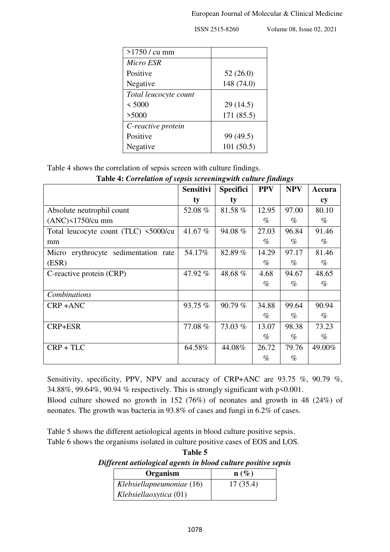| >1750 / cu mm         |            |
|-----------------------|------------|
| <b>Micro ESR</b>      |            |
| Positive              | 52(26.0)   |
| Negative              | 148 (74.0) |
| Total leucocyte count |            |
| < 5000                | 29(14.5)   |
| >5000                 | 171 (85.5) |
|                       |            |
| C-reactive protein    |            |
| Positive              | 99 (49.5)  |

Table 4 shows the correlation of sepsis screen with culture findings.

|                                      | <b>Sensitivi</b> | <b>Specifici</b> | <b>PPV</b> | <b>NPV</b> | Accura |
|--------------------------------------|------------------|------------------|------------|------------|--------|
|                                      | ty               | ty               |            |            | cy     |
| Absolute neutrophil count            | 52.08 %          | 81.58%           | 12.95      | 97.00      | 80.10  |
| $(ANC)$ <1750/cu mm                  |                  |                  | $\%$       | $\%$       | $\%$   |
| Total leucocyte count (TLC) <5000/cu | 41.67 %          | 94.08%           | 27.03      | 96.84      | 91.46  |
| mm                                   |                  |                  | $\%$       | $\%$       | $\%$   |
| Micro erythrocyte sedimentation rate | 54.17%           | 82.89%           | 14.29      | 97.17      | 81.46  |
| (ESR)                                |                  |                  | $\%$       | $\%$       | $\%$   |
| C-reactive protein (CRP)             | 47.92 %          | 48.68%           | 4.68       | 94.67      | 48.65  |
|                                      |                  |                  | $\%$       | $\%$       | $\%$   |
| Combinations                         |                  |                  |            |            |        |
| CRP+ANC                              | 93.75 %          | 90.79%           | 34.88      | 99.64      | 90.94  |
|                                      |                  |                  | $\%$       | $\%$       | $\%$   |
| CRP+ESR                              | 77.08%           | 73.03 %          | 13.07      | 98.38      | 73.23  |
|                                      |                  |                  | $\%$       | $\%$       | $\%$   |
| $CRP + TLC$                          | 64.58%           | 44.08%           | 26.72      | 79.76      | 49.00% |
|                                      |                  |                  | $\%$       | $\%$       |        |

**Table 4:** *Correlation of sepsis screeningwith culture findings*

Sensitivity, specificity, PPV, NPV and accuracy of CRP+ANC are 93.75 %, 90.79 %, 34.88%, 99.64%, 90.94 % respectively. This is strongly significant with p<0.001. Blood culture showed no growth in 152 (76%) of neonates and growth in 48 (24%) of neonates. The growth was bacteria in 93.8% of cases and fungi in 6.2% of cases.

Table 5 shows the different aetiological agents in blood culture positive sepsis. Table 6 shows the organisms isolated in culture positive cases of EOS and LOS.

**Table 5**  *Different aetiological agents in blood culture positive sepsis* 

| Organism                  | $\mathbf{n}(\%)$ |
|---------------------------|------------------|
| Klebsiellapneumoniae (16) | 17(35.4)         |
| Klebsiellaoxytica (01)    |                  |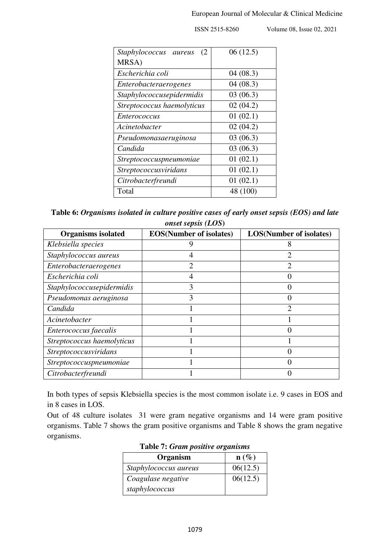*Staphylococcus aureus* (2 MRSA) 06 (12.5) *Escherichia coli* 04 (08.3) *Enterobacteraerogenes* 04 (08.3) *Staphylococcusepidermidis* 1 03 (06.3) *Streptococcus haemolyticus* 1 02 (04.2) *Enterococcus* 01 (02.1) *Acinetobacter* 02 (04.2) *Pseudomonasaeruginosa* 03 (06.3) *Candida* 03 (06.3) *Streptococcuspneumoniae* 1 01 (02.1) *Streptococcusviridans* 01 (02.1) *Citrobacterfreundi* 01 (02.1) Total 48 (100)

ISSN 2515-8260 Volume 08, Issue 02, 2021

**Table 6:** *Organisms isolated in culture positive cases of early onset sepsis (EOS) and late onset sepsis (LOS***)** 

| <b>Organisms isolated</b>  | <b>EOS</b> (Number of isolates) | <b>LOS(Number of isolates)</b> |
|----------------------------|---------------------------------|--------------------------------|
| Klebsiella species         |                                 |                                |
| Staphylococcus aureus      |                                 |                                |
| Enterobacteraerogenes      |                                 |                                |
| Escherichia coli           |                                 |                                |
| Staphylococcusepidermidis  |                                 |                                |
| Pseudomonas aeruginosa     |                                 |                                |
| Candida                    |                                 | $\mathcal{D}_{\mathcal{L}}$    |
| Acinetobacter              |                                 |                                |
| Enterococcus faecalis      |                                 |                                |
| Streptococcus haemolyticus |                                 |                                |
| Streptococcusviridans      |                                 |                                |
| Streptococcuspneumoniae    |                                 |                                |
| Citrobacterfreundi         |                                 |                                |

In both types of sepsis Klebsiella species is the most common isolate i.e. 9 cases in EOS and in 8 cases in LOS.

Out of 48 culture isolates 31 were gram negative organisms and 14 were gram positive organisms. Table 7 shows the gram positive organisms and Table 8 shows the gram negative organisms.

| Organism              | $\mathbf{n}(\%)$ |
|-----------------------|------------------|
| Staphylococcus aureus | 06(12.5)         |
| Coagulase negative    | 06(12.5)         |
| staphylococcus        |                  |

**Table 7:** *Gram positive organisms*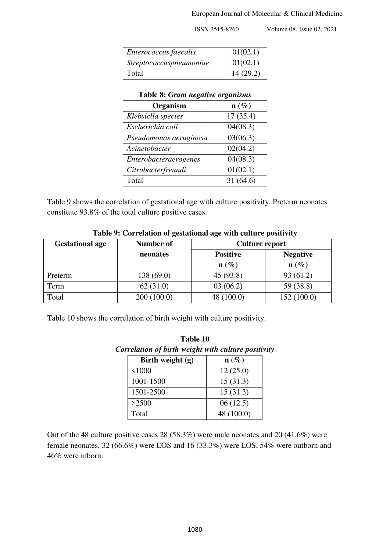#### European Journal of Molecular & Clinical Medicine

ISSN 2515-8260 Volume 08, Issue 02, 2021

| Enterococcus faecalis          | 01(02.1) |
|--------------------------------|----------|
| <i>Streptococcuspneumoniae</i> | 01(02.1) |
| Total                          | 14(29.2) |

#### **Table 8:** *Gram negative organisms*

| Organism               | $\mathbf{n}(\%)$ |
|------------------------|------------------|
| Klebsiella species     | 17(35.4)         |
| Escherichia coli       | 04(08.3)         |
| Pseudomonas aeruginosa | 03(06.3)         |
| Acinetobacter          | 02(04.2)         |
| Enterobacteraerogenes  | 04(08.3)         |
| Citrobacterfreundi     | 01(02.1)         |
| Total                  | 31(64.6)         |

Table 9 shows the correlation of gestational age with culture positivity. Preterm neonates constitute 93.8% of the total culture positive cases.

| <b>Gestational age</b> | <b>Number of</b> | <b>Culture report</b> |                 |
|------------------------|------------------|-----------------------|-----------------|
|                        | neonates         | <b>Positive</b>       | <b>Negative</b> |
|                        |                  | $\mathbf{n}(\%)$      | $n(\%)$         |
| Preterm                | 138 (69.0)       | 45 (93.8)             | 93(61.2)        |
| Term                   | 62(31.0)         | 03(06.2)              | 59 (38.8)       |
| Total                  | 200(100.0)       | 48 (100.0)            | 152(100.0)      |

**Table 9: Correlation of gestational age with culture positivity**

Table 10 shows the correlation of birth weight with culture positivity.

| Birth weight (g) | $\mathbf{n}(\%)$ |
|------------------|------------------|
| < 1000           | 12(25.0)         |
| 1001-1500        | 15(31.3)         |
| 1501-2500        | 15(31.3)         |
| >2500            | 06(12.5)         |
| Total            | 48 (100.0)       |

**Table 10** 

Out of the 48 culture positive cases 28 (58.3%) were male neonates and 20 (41.6%) were female neonates, 32 (66.6%) were EOS and 16 (33.3%) were LOS, 54% were outborn and 46% were inborn.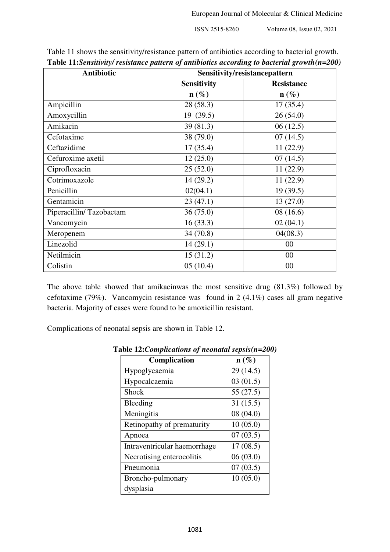| <b>Antibiotic</b>       | <b>Tuble Tribenshirily resistance panel to grandelones according to bacter an <math>\zeta</math>rowin<math>(</math>n=200</b><br>Sensitivity/resistancepattern |                   |  |
|-------------------------|---------------------------------------------------------------------------------------------------------------------------------------------------------------|-------------------|--|
|                         | <b>Sensitivity</b>                                                                                                                                            | <b>Resistance</b> |  |
|                         | $\mathbf{n}(\%)$                                                                                                                                              | $\mathbf{n}(\%)$  |  |
| Ampicillin              | 28 (58.3)                                                                                                                                                     | 17(35.4)          |  |
| Amoxycillin             | 19 (39.5)                                                                                                                                                     | 26(54.0)          |  |
| Amikacin                | 39(81.3)                                                                                                                                                      | 06(12.5)          |  |
| Cefotaxime              | 38 (79.0)                                                                                                                                                     | 07(14.5)          |  |
| Ceftazidime             | 17(35.4)                                                                                                                                                      | 11(22.9)          |  |
| Cefuroxime axetil       | 12(25.0)                                                                                                                                                      | 07(14.5)          |  |
| Ciprofloxacin           | 25(52.0)                                                                                                                                                      | 11(22.9)          |  |
| Cotrimoxazole           | 14 (29.2)                                                                                                                                                     | 11(22.9)          |  |
| Penicillin              | 02(04.1)                                                                                                                                                      | 19(39.5)          |  |
| Gentamicin              | 23(47.1)                                                                                                                                                      | 13(27.0)          |  |
| Piperacillin/Tazobactam | 36(75.0)                                                                                                                                                      | 08(16.6)          |  |
| Vancomycin              | 16(33.3)                                                                                                                                                      | 02(04.1)          |  |
| Meropenem               | 34 (70.8)                                                                                                                                                     | 04(08.3)          |  |
| Linezolid               | 14(29.1)                                                                                                                                                      | 00                |  |
| Netilmicin              | 15(31.2)                                                                                                                                                      | 00                |  |
| Colistin                | 05(10.4)                                                                                                                                                      | $00\,$            |  |

Table 11 shows the sensitivity/resistance pattern of antibiotics according to bacterial growth. **Table 11:***Sensitivity/ resistance pattern of antibiotics according to bacterial growth(n=200)*

The above table showed that amikacinwas the most sensitive drug (81.3%) followed by cefotaxime (79%). Vancomycin resistance was found in 2 (4.1%) cases all gram negative bacteria. Majority of cases were found to be amoxicillin resistant.

Complications of neonatal sepsis are shown in Table 12.

| Complication                 | $\mathbf{n}(\%)$ |
|------------------------------|------------------|
| Hypoglycaemia                | 29(14.5)         |
| Hypocalcaemia                | 03(01.5)         |
| <b>Shock</b>                 | 55(27.5)         |
| Bleeding                     | 31(15.5)         |
| Meningitis                   | 08 (04.0)        |
| Retinopathy of prematurity   | 10(05.0)         |
| Apnoea                       | 07(03.5)         |
| Intraventricular haemorrhage | 17(08.5)         |
| Necrotising enterocolitis    | 06(03.0)         |
| Pneumonia                    | 07(03.5)         |
| Broncho-pulmonary            | 10(05.0)         |
| dysplasia                    |                  |

**Table 12:***Complications of neonatal sepsis(n=200)*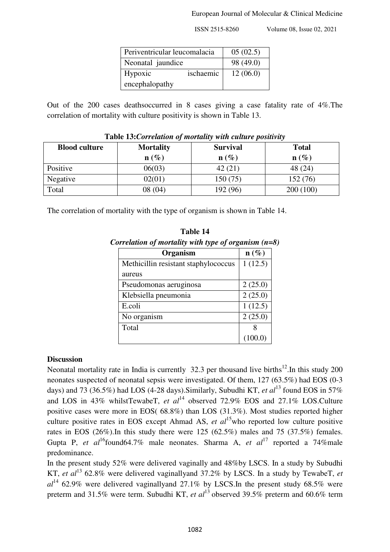| Periventricular leucomalacia |           | 05(02.5)  |
|------------------------------|-----------|-----------|
| Neonatal jaundice            |           | 98 (49.0) |
| Hypoxic                      | ischaemic | 12(06.0)  |
| encephalopathy               |           |           |

Out of the 200 cases deathsoccurred in 8 cases giving a case fatality rate of 4%.The correlation of mortality with culture positivity is shown in Table 13.

| <b>Blood culture</b> | <b>Mortality</b> | <b>Survival</b>  | <b>Total</b>     |
|----------------------|------------------|------------------|------------------|
|                      | $\mathbf{n}(\%)$ | $\mathbf{n}(\%)$ | $\mathbf{n}(\%)$ |
| Positive             | 06(03)           | 42(21)           | 48 (24)          |
| Negative             | 02(01)           | 150 (75)         | 152 (76)         |
| Total                | 08(04)           | 192 (96)         | 200(100)         |

#### **Table 13:***Correlation of mortality with culture positivity*

The correlation of mortality with the type of organism is shown in Table 14.

| Table 14 |                                                        |  |
|----------|--------------------------------------------------------|--|
|          | Correlation of mortality with type of organism $(n=8)$ |  |

| Organism                             | $\mathbf{n}(\%)$ |
|--------------------------------------|------------------|
| Methicillin resistant staphylococcus | 1(12.5)          |
| aureus                               |                  |
| Pseudomonas aeruginosa               | 2(25.0)          |
| Klebsiella pneumonia                 | 2(25.0)          |
| E.coli                               | 1(12.5)          |
| No organism                          | 2(25.0)          |
| Total                                |                  |
|                                      | (100.0)          |

## **Discussion**

Neonatal mortality rate in India is currently 32.3 per thousand live births<sup>12</sup>. In this study 200 neonates suspected of neonatal sepsis were investigated. Of them, 127 (63.5%) had EOS (0-3 days) and 73 (36.5%) had LOS (4-28 days). Similarly, Subudhi KT, *et al*<sup>13</sup> found EOS in 57% and LOS in 43% whilstTewabeT, *et al*<sup>14</sup> observed 72.9% EOS and 27.1% LOS.Culture positive cases were more in EOS( 68.8%) than LOS (31.3%). Most studies reported higher culture positive rates in EOS except Ahmad AS, *et al*<sup>15</sup>who reported low culture positive rates in EOS (26%).In this study there were 125 (62.5%) males and 75 (37.5%) females. Gupta P, *et al*<sup>16</sup>found64.7% male neonates. Sharma A, *et al*<sup>17</sup> reported a 74%male predominance.

In the present study 52% were delivered vaginally and 48%by LSCS. In a study by Subudhi KT, *et al*<sup>13</sup> 62.8% were delivered vaginallyand 37.2% by LSCS. In a study by TewabeT, *et*  $al^{14}$  62.9% were delivered vaginallyand 27.1% by LSCS. In the present study 68.5% were preterm and 31.5% were term. Subudhi KT, *et al*<sup>13</sup> observed 39.5% preterm and 60.6% term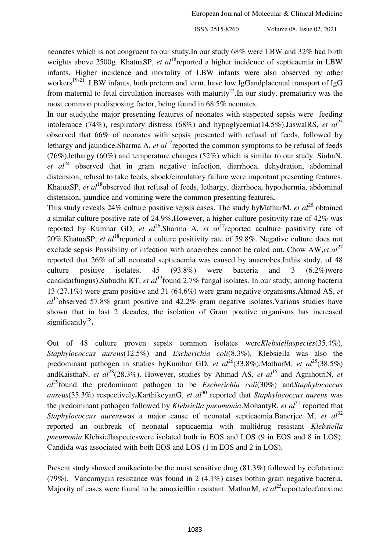neonates which is not congruent to our study.In our study 68% were LBW and 32% had birth weights above 2500g. KhatuaSP, *et al*<sup>18</sup>reported a higher incidence of septicaemia in LBW infants. Higher incidence and mortality of LBW infants were also observed by other workers<sup>19-21</sup>. LBW infants, both preterm and term, have low IgGandplacental transport of IgG from maternal to fetal circulation increases with maturity<sup>22</sup>. In our study, prematurity was the most common predisposing factor, being found in 68.5% neonates.

In our study,the major presenting features of neonates with suspected sepsis were feeding intolerance (74%), respiratory distress (68%) and hypoglycemia(14.5%).JaswalRS, *et al*<sup>23</sup> observed that 66% of neonates with sepsis presented with refusal of feeds, followed by lethargy and jaundice.Sharma A, *et al*<sup>17</sup>reported the common symptoms to be refusal of feeds (76%), lethargy (60%) and temperature changes (52%) which is similar to our study. SinhaN, *et*  $al^{24}$  observed that in gram negative infection, diarrhoea, dehydration, abdominal distension, refusal to take feeds, shock/circulatory failure were important presenting features. KhatuaSP, *et al*<sup>18</sup>observed that refusal of feeds, lethargy, diarrhoea, hypothermia, abdominal distension, jaundice and vomiting were the common presenting features**.**

This study reveals 24% culture positive sepsis cases. The study byMathurM, *et al*<sup>25</sup> obtained a similar culture positive rate of 24.9%**.**However, a higher culture positivity rate of 42% was reported by Kumhar GD, *et al*<sup>26</sup>.Sharma A, *et al*<sup>17</sup>reported aculture positivity rate of 20%.KhatuaSP, *et al*<sup>18</sup>reported a culture positivity rate of 59.8%. Negative culture does not exclude sepsis Possibility of infection with anaerobes cannot be ruled out. Chow AW,*et al*<sup>27</sup> reported that 26% of all neonatal septicaemia was caused by anaerobes.Inthis study, of 48 culture positive isolates, 45  $(93.8\%)$  were bacteria and 3  $(6.2\%)$ were candida(fungus).Subudhi KT, *et al*<sup>13</sup>found 2.7% fungal isolates. In our study, among bacteria 13 (27.1%) were gram positive and 31 (64.6%) were gram negative organisms.Ahmad AS, *et al*<sup>15</sup>observed 57.8% gram positive and 42.2% gram negative isolates.Various studies have shown that in last 2 decades, the isolation of Gram positive organisms has increased significantly<sup>28</sup>.

Out of 48 culture proven sepsis common isolates were*Klebsiellaspecies*(35.4%), *Staphylococcus aureus*(12.5%) and *Escherichia coli*(8.3%). Klebsiella was also the predominant pathogen in studies by Kumhar GD, *et al*<sup>26</sup>(33.8%), MathurM, *et al*<sup>25</sup>(38.5%) andKaisthaN, *et al*<sup>28</sup>(28.3%). However, studies by Ahmad AS, *et al*<sup>15</sup> and AgnihotriN, *et al*<sup>29</sup>found the predominant pathogen to be *Escherichia coli*(30%) and*Staphylococcus aureus*(35.3%) respectively.KarthikeyanG, *et al*<sup>30</sup> reported that *Staphylococcus aureus* was the predominant pathogen followed by *Klebsiella pneumonia*.MohantyR, *et al*<sup>31</sup> reported that *Staphylococcus aureuswas* a major cause of neonatal septicaemia.Banerjee M, *et al*<sup>32</sup> reported an outbreak of neonatal septicaemia with multidrug resistant *Klebsiella pneumonia*.Klebsiellaspecieswere isolated both in EOS and LOS (9 in EOS and 8 in LOS). Candida was associated with both EOS and LOS (1 in EOS and 2 in LOS).

Present study showed amikacinto be the most sensitive drug (81.3%) followed by cefotaxime (79%). Vancomycin resistance was found in 2 (4.1%) cases bothin gram negative bacteria. Majority of cases were found to be amoxicillin resistant. MathurM, *et al*<sup>25</sup> reportedcefotaxime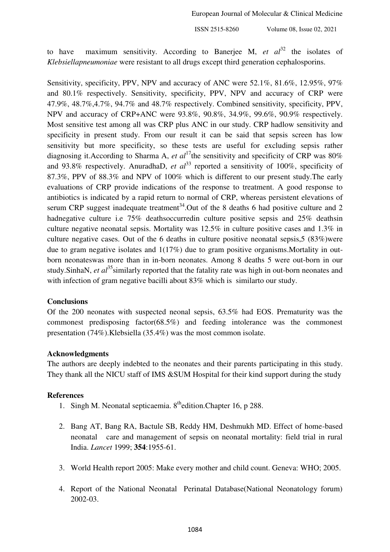to have maximum sensitivity. According to Banerjee M,  $et \text{ } al^{32}$  the isolates of *Klebsiellapneumoniae* were resistant to all drugs except third generation cephalosporins.

Sensitivity, specificity, PPV, NPV and accuracy of ANC were 52.1%, 81.6%, 12.95%, 97% and 80.1% respectively. Sensitivity, specificity, PPV, NPV and accuracy of CRP were 47.9%, 48.7%,4.7%, 94.7% and 48.7% respectively. Combined sensitivity, specificity, PPV, NPV and accuracy of CRP+ANC were 93.8%, 90.8%, 34.9%, 99.6%, 90.9% respectively. Most sensitive test among all was CRP plus ANC in our study. CRP hadlow sensitivity and specificity in present study. From our result it can be said that sepsis screen has low sensitivity but more specificity, so these tests are useful for excluding sepsis rather diagnosing it.According to Sharma A, *et al*<sup>17</sup>the sensitivity and specificity of CRP was 80% and 93.8% respectively. AnuradhaD, *et*  $al^{33}$  reported a sensitivity of 100%, specificity of 87.3%, PPV of 88.3% and NPV of 100% which is different to our present study.The early evaluations of CRP provide indications of the response to treatment. A good response to antibiotics is indicated by a rapid return to normal of CRP, whereas persistent elevations of serum CRP suggest inadequate treatment<sup>34</sup>. Out of the 8 deaths 6 had positive culture and 2 hadnegative culture i.e 75% deathsoccurredin culture positive sepsis and 25% deathsin culture negative neonatal sepsis. Mortality was 12.5% in culture positive cases and 1.3% in culture negative cases. Out of the 6 deaths in culture positive neonatal sepsis,5 (83%)were due to gram negative isolates and 1(17%) due to gram positive organisms.Mortality in outborn neonateswas more than in in-born neonates. Among 8 deaths 5 were out-born in our study.SinhaN, *et al*<sup>35</sup> similarly reported that the fatality rate was high in out-born neonates and with infection of gram negative bacilli about 83% which is similar to our study.

## **Conclusions**

Of the 200 neonates with suspected neonal sepsis, 63.5% had EOS. Prematurity was the commonest predisposing factor(68.5%) and feeding intolerance was the commonest presentation (74%).Klebsiella (35.4%) was the most common isolate.

## **Acknowledgments**

The authors are deeply indebted to the neonates and their parents participating in this study. They thank all the NICU staff of IMS &SUM Hospital for their kind support during the study

## **References**

- 1. Singh M. Neonatal septicaemia.  $8<sup>th</sup>$ edition.Chapter 16, p 288.
- 2. Bang AT, Bang RA, Bactule SB, Reddy HM, Deshmukh MD. Effect of home-based neonatal care and management of sepsis on neonatal mortality: field trial in rural India. *Lancet* 1999; **354**:1955-61.
- 3. World Health report 2005: Make every mother and child count. Geneva: WHO; 2005.
- 4. Report of the National Neonatal Perinatal Database(National Neonatology forum) 2002-03.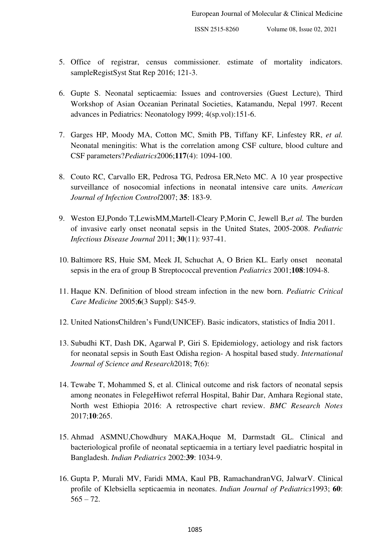- 5. Office of registrar, census commissioner. estimate of mortality indicators. sampleRegistSyst Stat Rep 2016; 121-3.
- 6. Gupte S. Neonatal septicaemia: Issues and controversies (Guest Lecture), Third Workshop of Asian Oceanian Perinatal Societies, Katamandu, Nepal 1997. Recent advances in Pediatrics: Neonatology l999; 4(sp.vol):151-6.
- 7. Garges HP, Moody MA, Cotton MC, Smith PB, Tiffany KF, Linfestey RR, *et al.* Neonatal meningitis: What is the correlation among CSF culture, blood culture and CSF parameters?*Pediatrics*2006;**117**(4): 1094-100.
- 8. Couto RC, Carvallo ER, Pedrosa TG, Pedrosa ER,Neto MC. A 10 year prospective surveillance of nosocomial infections in neonatal intensive care units. *American Journal of Infection Control*2007; **35**: 183-9.
- 9. Weston EJ,Pondo T,LewisMM,Martell-Cleary P,Morin C, Jewell B,*et al.* The burden of invasive early onset neonatal sepsis in the United States, 2005-2008. *Pediatric Infectious Disease Journal* 2011; **30**(11): 937-41.
- 10. Baltimore RS, Huie SM, Meek JI, Schuchat A, O Brien KL. Early onset neonatal sepsis in the era of group B Streptococcal prevention *Pediatrics* 2001;**108**:1094-8.
- 11. Haque KN. Definition of blood stream infection in the new born. *Pediatric Critical Care Medicine* 2005;**6**(3 Suppl): S45-9.
- 12. United NationsChildren's Fund(UNICEF). Basic indicators, statistics of India 2011.
- 13. Subudhi KT, Dash DK, Agarwal P, Giri S. Epidemiology, aetiology and risk factors for neonatal sepsis in South East Odisha region- A hospital based study. *International Journal of Science and Research*2018; **7**(6):
- 14. Tewabe T, Mohammed S, et al. Clinical outcome and risk factors of neonatal sepsis among neonates in FelegeHiwot referral Hospital, Bahir Dar, Amhara Regional state, North west Ethiopia 2016: A retrospective chart review. *BMC Research Notes* 2017;**10**:265.
- 15. Ahmad ASMNU,Chowdhury MAKA,Hoque M, Darmstadt GL. Clinical and bacteriological profile of neonatal septicaemia in a tertiary level paediatric hospital in Bangladesh. *Indian Pediatrics* 2002:**39**: 1034-9.
- 16. Gupta P, Murali MV, Faridi MMA, Kaul PB, RamachandranVG, JalwarV. Clinical profile of Klebsiella septicaemia in neonates. *Indian Journal of Pediatrics*1993; **60**:  $565 - 72.$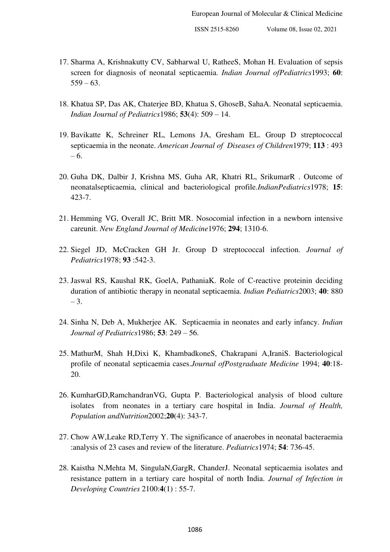- 17. Sharma A, Krishnakutty CV, Sabharwal U, RatheeS, Mohan H. Evaluation of sepsis screen for diagnosis of neonatal septicaemia. *Indian Journal ofPediatrics*1993; **60**:  $559 - 63.$
- 18. Khatua SP, Das AK, Chaterjee BD, Khatua S, GhoseB, SahaA. Neonatal septicaemia. *Indian Journal of Pediatrics*1986; **53**(4): 509 – 14.
- 19. Bavikatte K, Schreiner RL, Lemons JA, Gresham EL. Group D streptococcal septicaemia in the neonate. *American Journal of Diseases of Children*1979; **113** : 493 – 6.
- 20. Guha DK, Dalbir J, Krishna MS, Guha AR, Khatri RL, SrikumarR . Outcome of neonatalsepticaemia, clinical and bacteriological profile.*IndianPediatrics*1978; **15**: 423-7.
- 21. Hemming VG, Overall JC, Britt MR. Nosocomial infection in a newborn intensive careunit. *New England Journal of Medicine*1976; **294**; 1310-6.
- 22. Siegel JD, McCracken GH Jr. Group D streptococcal infection. *Journal of Pediatrics*1978; **93** :542-3.
- 23. Jaswal RS, Kaushal RK, GoelA, PathaniaK. Role of C-reactive proteinin deciding duration of antibiotic therapy in neonatal septicaemia. *Indian Pediatrics*2003; **40**: 880 – 3.
- 24. Sinha N, Deb A, Mukherjee AK. Septicaemia in neonates and early infancy. *Indian Journal of Pediatrics*1986; **53**: 249 – 56.
- 25. MathurM, Shah H,Dixi K, KhambadkoneS, Chakrapani A,IraniS. Bacteriological profile of neonatal septicaemia cases.*Journal ofPostgraduate Medicine* 1994; **40**:18- 20.
- 26. KumharGD,RamchandranVG, Gupta P. Bacteriological analysis of blood culture isolates from neonates in a tertiary care hospital in India. *Journal of Health, Population andNutrition*2002;**20**(4): 343-7.
- 27. Chow AW,Leake RD,Terry Y. The significance of anaerobes in neonatal bacteraemia :analysis of 23 cases and review of the literature. *Pediatrics*1974; **54**: 736-45.
- 28. Kaistha N,Mehta M, SingulaN,GargR, ChanderJ. Neonatal septicaemia isolates and resistance pattern in a tertiary care hospital of north India. *Journal of Infection in Developing Countries* 2100:**4**(1) : 55-7.